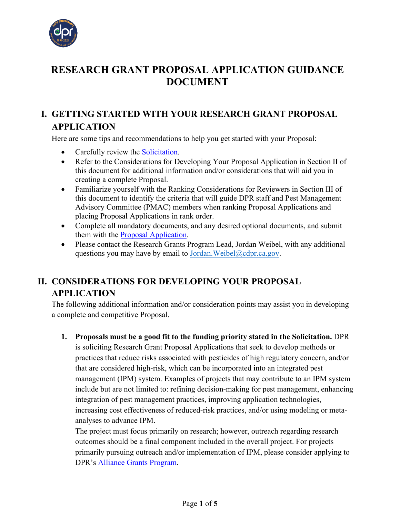

# **RESEARCH GRANT PROPOSAL APPLICATION GUIDANCE DOCUMENT**

## **I. GETTING STARTED WITH YOUR RESEARCH GRANT PROPOSAL APPLICATION**

Here are some tips and recommendations to help you get started with your Proposal:

- Carefully review the [Solicitation.](https://www.cdpr.ca.gov/docs/pestmgt/grants/research/solicitation/research_grant_solicitation_2022.pdf)
- Refer to the Considerations for Developing Your Proposal Application in Section II of this document for additional information and/or considerations that will aid you in creating a complete Proposal.
- Familiarize yourself with the Ranking Considerations for Reviewers in Section III of this document to identify the criteria that will guide DPR staff and Pest Management Advisory Committee (PMAC) members when ranking Proposal Applications and placing Proposal Applications in rank order.
- Complete all mandatory documents, and any desired optional documents, and submit them with the [Proposal Application.](https://www.cdpr.ca.gov/docs/pestmgt/grants/research/solicitation/research_grant_application_2022.pdf)
- Please contact the Research Grants Program Lead, Jordan Weibel, with any additional questions you may have by email to Jordan. Weibel@cdpr.ca.gov.

## **II. CONSIDERATIONS FOR DEVELOPING YOUR PROPOSAL APPLICATION**

The following additional information and/or consideration points may assist you in developing a complete and competitive Proposal.

**1. Proposals must be a good fit to the funding priority stated in the Solicitation.** DPR is soliciting Research Grant Proposal Applications that seek to develop methods or practices that reduce risks associated with pesticides of high regulatory concern, and/or that are considered high-risk, which can be incorporated into an integrated pest management (IPM) system. Examples of projects that may contribute to an IPM system include but are not limited to: refining decision-making for pest management, enhancing integration of pest management practices, improving application technologies, increasing cost effectiveness of reduced-risk practices, and/or using modeling or metaanalyses to advance IPM.

The project must focus primarily on research; however, outreach regarding research outcomes should be a final component included in the overall project. For projects primarily pursuing outreach and/or implementation of IPM, please consider applying to DPR's [Alliance Grants Program.](https://www.cdpr.ca.gov/docs/pestmgt/grants/alliance/index.htm)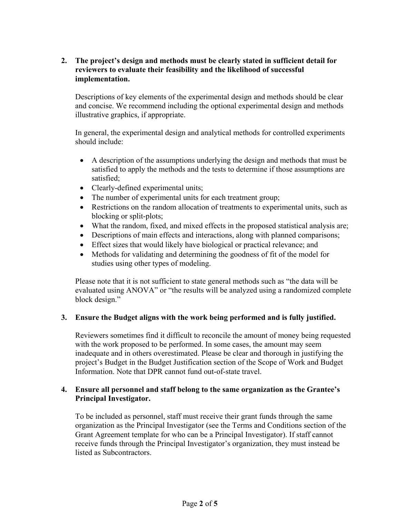#### **2. The project's design and methods must be clearly stated in sufficient detail for reviewers to evaluate their feasibility and the likelihood of successful implementation.**

Descriptions of key elements of the experimental design and methods should be clear and concise. We recommend including the optional experimental design and methods illustrative graphics, if appropriate.

In general, the experimental design and analytical methods for controlled experiments should include:

- A description of the assumptions underlying the design and methods that must be satisfied to apply the methods and the tests to determine if those assumptions are satisfied;
- Clearly-defined experimental units;
- The number of experimental units for each treatment group;
- Restrictions on the random allocation of treatments to experimental units, such as blocking or split-plots;
- What the random, fixed, and mixed effects in the proposed statistical analysis are;
- Descriptions of main effects and interactions, along with planned comparisons;
- Effect sizes that would likely have biological or practical relevance; and
- Methods for validating and determining the goodness of fit of the model for studies using other types of modeling.

Please note that it is not sufficient to state general methods such as "the data will be evaluated using ANOVA" or "the results will be analyzed using a randomized complete block design."

#### **3. Ensure the Budget aligns with the work being performed and is fully justified.**

Reviewers sometimes find it difficult to reconcile the amount of money being requested with the work proposed to be performed. In some cases, the amount may seem inadequate and in others overestimated. Please be clear and thorough in justifying the project's Budget in the Budget Justification section of the Scope of Work and Budget Information. Note that DPR cannot fund out-of-state travel.

#### **4. Ensure all personnel and staff belong to the same organization as the Grantee's Principal Investigator.**

To be included as personnel, staff must receive their grant funds through the same organization as the Principal Investigator (see the Terms and Conditions section of the Grant Agreement template for who can be a Principal Investigator). If staff cannot receive funds through the Principal Investigator's organization, they must instead be listed as Subcontractors.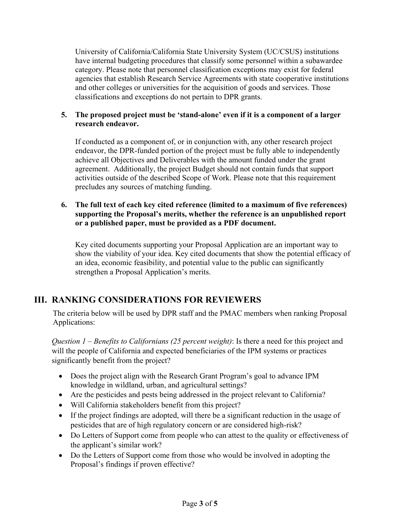University of California/California State University System (UC/CSUS) institutions have internal budgeting procedures that classify some personnel within a subawardee category. Please note that personnel classification exceptions may exist for federal agencies that establish Research Service Agreements with state cooperative institutions and other colleges or universities for the acquisition of goods and services. Those classifications and exceptions do not pertain to DPR grants.

#### **5. The proposed project must be 'stand-alone' even if it is a component of a larger research endeavor.**

If conducted as a component of, or in conjunction with, any other research project endeavor, the DPR-funded portion of the project must be fully able to independently achieve all Objectives and Deliverables with the amount funded under the grant agreement. Additionally, the project Budget should not contain funds that support activities outside of the described Scope of Work. Please note that this requirement precludes any sources of matching funding.

#### **6. The full text of each key cited reference (limited to a maximum of five references) supporting the Proposal's merits, whether the reference is an unpublished report or a published paper, must be provided as a PDF document.**

Key cited documents supporting your Proposal Application are an important way to show the viability of your idea. Key cited documents that show the potential efficacy of an idea, economic feasibility, and potential value to the public can significantly strengthen a Proposal Application's merits.

### **III. RANKING CONSIDERATIONS FOR REVIEWERS**

The criteria below will be used by DPR staff and the PMAC members when ranking Proposal Applications:

*Question 1 – Benefits to Californians (25 percent weight)*: Is there a need for this project and will the people of California and expected beneficiaries of the IPM systems or practices significantly benefit from the project?

- Does the project align with the Research Grant Program's goal to advance IPM knowledge in wildland, urban, and agricultural settings?
- Are the pesticides and pests being addressed in the project relevant to California?
- Will California stakeholders benefit from this project?
- If the project findings are adopted, will there be a significant reduction in the usage of pesticides that are of high regulatory concern or are considered high-risk?
- Do Letters of Support come from people who can attest to the quality or effectiveness of the applicant's similar work?
- Do the Letters of Support come from those who would be involved in adopting the Proposal's findings if proven effective?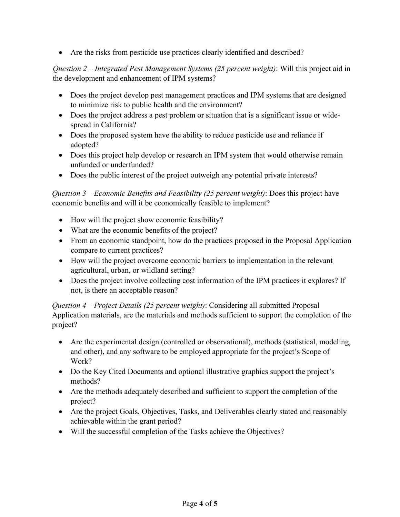• Are the risks from pesticide use practices clearly identified and described?

#### *Question 2 – Integrated Pest Management Systems (25 percent weight)*: Will this project aid in the development and enhancement of IPM systems?

- Does the project develop pest management practices and IPM systems that are designed to minimize risk to public health and the environment?
- Does the project address a pest problem or situation that is a significant issue or widespread in California?
- Does the proposed system have the ability to reduce pesticide use and reliance if adopted?
- Does this project help develop or research an IPM system that would otherwise remain unfunded or underfunded?
- Does the public interest of the project outweigh any potential private interests?

*Question 3 – Economic Benefits and Feasibility (25 percent weight)*: Does this project have economic benefits and will it be economically feasible to implement?

- How will the project show economic feasibility?
- What are the economic benefits of the project?
- From an economic standpoint, how do the practices proposed in the Proposal Application compare to current practices?
- How will the project overcome economic barriers to implementation in the relevant agricultural, urban, or wildland setting?
- Does the project involve collecting cost information of the IPM practices it explores? If not, is there an acceptable reason?

*Question 4 – Project Details (25 percent weight)*: Considering all submitted Proposal Application materials, are the materials and methods sufficient to support the completion of the project?

- Are the experimental design (controlled or observational), methods (statistical, modeling, and other), and any software to be employed appropriate for the project's Scope of Work?
- Do the Key Cited Documents and optional illustrative graphics support the project's methods?
- Are the methods adequately described and sufficient to support the completion of the project?
- Are the project Goals, Objectives, Tasks, and Deliverables clearly stated and reasonably achievable within the grant period?
- Will the successful completion of the Tasks achieve the Objectives?